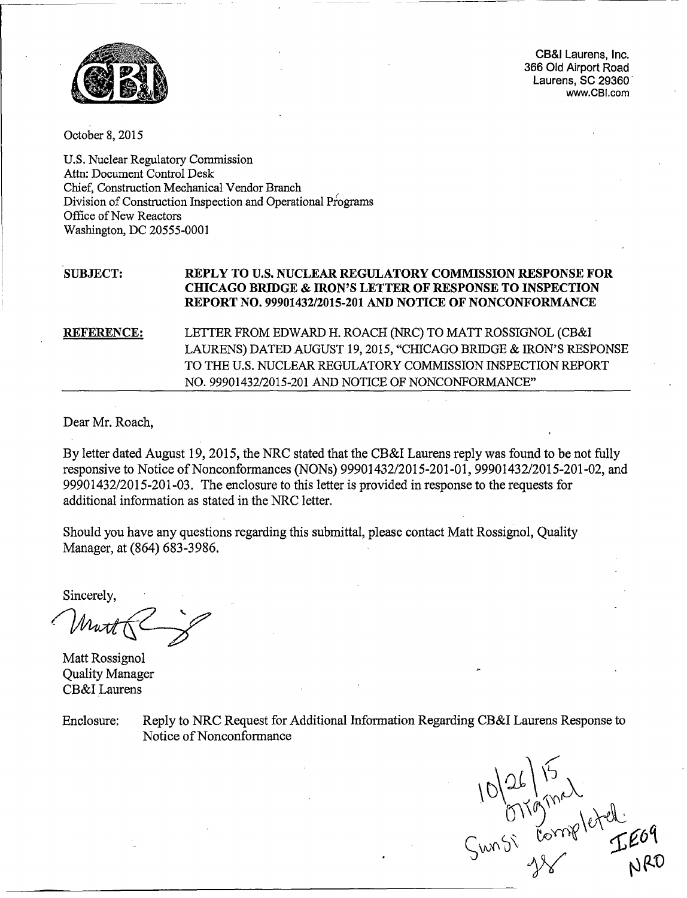

CB&I Laurens, Inc. 366 Old Airport Road Laurens, SC 29360 www.CBI.com

October 8, 2015

 $\mathbf{U}$ . Nuclear  $\mathbf{U}$  and  $\mathbf{U}$  and  $\mathbf{U}$  $\mathbf{C}$ . Nuclear Regulatory Cont Chief, Construction Mechanical Vendor Branch Chief, Construction Mechanical Vendor Branch Division of Construction Inspection and Operational Programs<br>Office of New Reactors Washington, DC *20555-0001*

# **SUBJECT: REPLY TO U.S. NUCLEAR REGULATORY COMMISSION RESPONSE FOR CHICAGO BRIDGE & IRON'S LETTER OF RESPONSE TO INSPECTION REPORT NO. 99901432/2015-201 AND NOTICE OF NONCONFORMANCE**

REFERENCE: LETTER FROM EDWARD H. ROACH (NRC) TO MATT ROSSIGNOL (CB&I LAURENS) DATED AUGUST **19, 2015, "CHICAGO BRIDGE & IRON'S RESPONSE** TO THE U.S. NUCLEAR REGULATORY COMMISSION INSPECTION REPORT NO. 99901432/2015-20 1 AND NOTICE OF NONCONFORMANCE"

Dear Mr. Roach,

By letter dated August 19, 2015, the NRC stated that the CB&I Laurens reply was found to be not fully responsive to Notice of Nonconformances (NONs) 99901432/2015-201-01, 99901432/2015-201-02, and 99901432/2015-201-03. The enclosure to this letter is provided in response to the requests for additional information as stated in the NRC letter.

Should you have any questions regarding this submittal, please contact Matt Rossignol, Quality  $M_{\odot}$  Manager,  $(864, 683, 3986)$ 

Sincerely,

 $\mathbf{M}$ 

Man Rossignon Quality Manager<br>CB&I Laurens

Enclosure: Reply to NRC Request for Additional Information Regarding CB&I Laurens Response to Reply to NRC Request to.

Sunsi Completed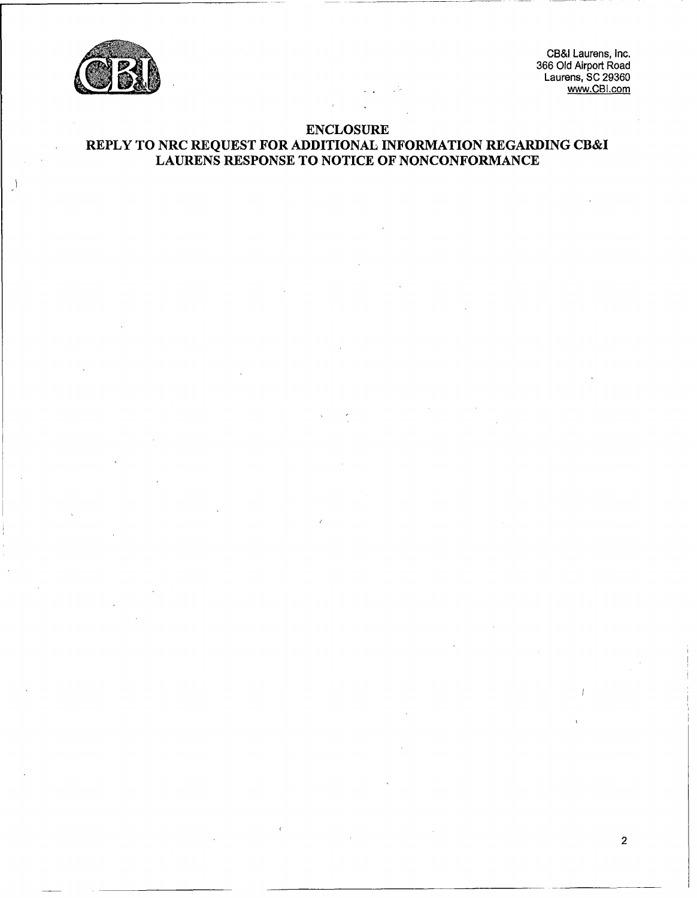

~CB&l Laurens, Inc. 366 Old Airport Road Laurens, SC 29360<br>Laurens, SC 29360

2

# ENCLOSURE ENCLOSURE<br>REPLY TO NRC REQUEST FOR ADDITIONAL INFORMATION REGARDING CB& LAURENS RESPONSE TO NOTICE OF NONCONFORMANCE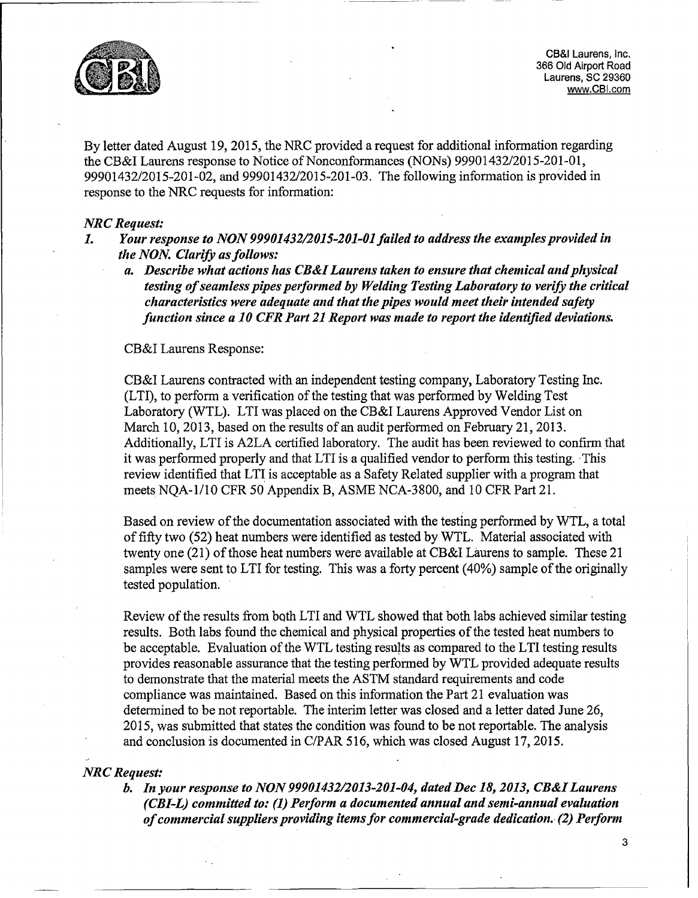

ob Old Alriport Road.<br>I aurens, SC 29360 Laurens, SC 29360 Laurens, I CB&I Laurens, Inc.<br>366 Old Airport Road Laurens, SC 29360 www.CBI.com

By letter dated August 19, *2015,* the NRC provided a request for additional information regarding the CB&I Laurens response to Notice of Nonconformances (NONs) 99901432/2015-201-01, 99901432/2015-201-02, and 99901432/2015-201-03. The following information is provided in response to the NRC requests for information:

### *NRC Request:*

- Your response to NON 99901432/2015-201-01 failed to address the examples provided in  $\boldsymbol{I}$ . *the NON. Clarify as follows:*
	- *a. Describe what actions has CB&I Laurens taken to ensure that chemical and physical testing of seamless pipes performed by Welding Testing Laboratory to verify the critical characteristics were adequate and that the pipes would meet their intended safety fun ction since a 10 CER Part 21 Report was made to report the identified deviations.*

## CB&I Laurens Response:

CB&I Laurens contracted with an independent testing company, Laboratory Testing Inc. (LTI), to perform a verification of the testing that was performed by Welding Test Laboratory (WTL). LTI was placed on the CB&J Laurens Approved Vendor List on March 10, 2013, based on the results of an audit performed on February 21, 2013. Additionally, LTI is A2LA certified laboratory. The audit has been reviewed to confirm that it was performed properly and that LTI is a qualified vendor to perform this testing. This review identified that LTJ is acceptable as a Safety Related supplier with a program that meets NQA-1/10 CFR 50 Appendix B, ASME NCA-3800, and 10 CFR Part 21.

Based on review of the documentation associated with the testing performed by WTL, a total of fifty two (52) heat numbers were identified as tested by WTL. Material associated with twenty one (21) of those heat numbers were available at CB&I Laurens to sample. These 21 samples were sent to LTI for testing. This was a forty percent (40%) sample of the originally tested population.

Review of the results from both LTI and WTL showed that both labs achieved similar testing results. Both labs found the chemical and physical properties of the tested heat numbers to be acceptable. Evaluation of the WTL testing results as compared to the LTI testing results provides reasonable assurance that the testing performed by WTL provided adequate results to demonstrate that the material meets the ASTM standard requirements and code compliance was maintained. Based on this information the Part 21 evaluation was determined to be not reportable. The interim letter was closed and a letter dated June 26, 2015, was submitted that states the condition was found to be not reportable. The analysis and conclusion is documented in C/PAR 516, which was closed August 17, 2015.

#### *NRC Request:*

*b. In your response to NON 99901432/2013-201-04, dated Dec 18, 2013, CB&I Laurens (CBI-L) committed to: (1) Perform a documented annual and semi-annual evaluation of commercial suppliers providing items for commercial-grade dedication. (2) Perform*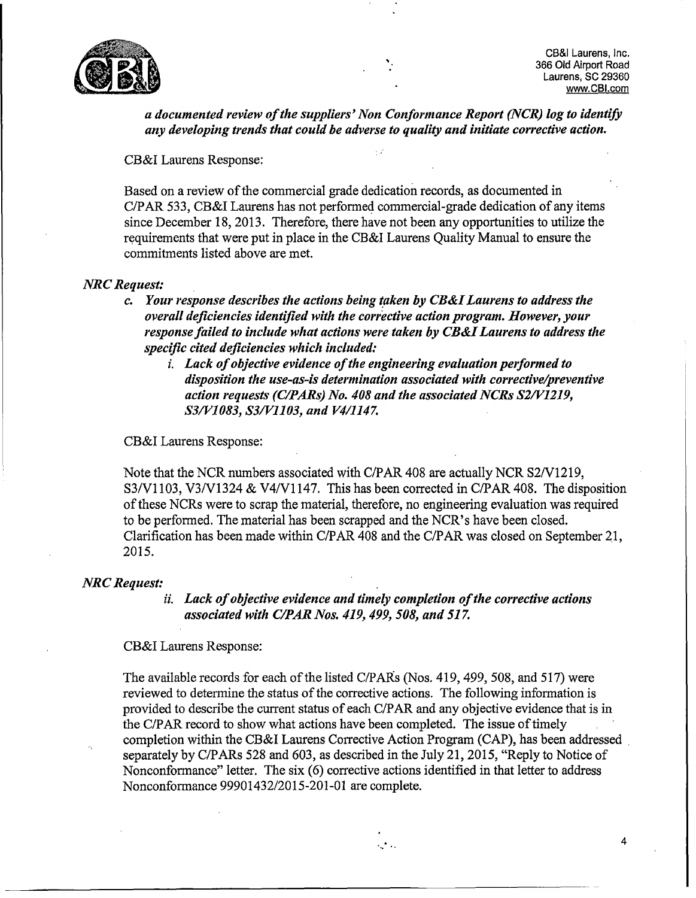

CB&I Laurens, Inc.<br>366 Old Airport Road Laurens, SC 29360 www.CBI.com

4

*a documented review of the suppliers' Non Conformance Report (NCR) log to identify any developing trends that could be adverse to quality and initiate corrective action.*

ξź

CB&I Laurens Response:

Based on a review of the commercial grade dedication records, as documented in C/PAR 533, CB&I Laurens has not performed commercial-grade dedication of any items since December 18, 2013. Therefore, there have not been any opportunities to utilize the requirements that were put in place in the CB&I Laurens Quality Manual to ensure the commitments listed above are met.

## *NRC Request:*

- *c. Your response describes the actions being taken by CB&I Laurens to address the overall deficiencies identified with the corr'ective action program. However, your response failed to include what actions were taken by CB&I Laurens to address the specific cited deficiencies which included:*
	- *i. Lack of objective evidence of the engineering evaluation performed to disposition the use-as-is determination associated with corrective/preventive action requests (C/PARs) No. 408 and the associated NCRs S2/V1219, S3/V1083, S3/V1103, and V4/1147.*

CB&I Laurens Response:

Note that the NCR numbers associated with C/PAR 408 are actually NCR S2/V1219, S3/V1103, V3/V1324 & V4/V1147. This has been corrected in C/PAR 408. The disposition of these NCRs were to scrap the material, therefore, no engineering evaluation was required to be performed. The material has been scrapped and the NCR's have been closed. Colorification has been made within C/PAR 408 and the C/PAR was closed on September 21,  $2015$ 

#### *NRC Request:*

*ii. Lack of objective evidence and timely completion of the corrective actions associated with C/PAR Nos. 419, 499, 508, and 517.*

CB&I Laurens Response:

The available records for each of the listed C/PARs (Nos. 419, 499, 508, and 517) were reviewed to determine the status of the corrective actions. The following information is provided to describe the current status of each C/PAR and any objective evidence that is in the C/PAR record to show what actions have been completed. The issue of timely completion within the CB&I Laurens Corrective Action Program (CAP), has been addressed completion within the CB&I Lattrens Corrective Action Program (CAP), has been address<br>concertain by C/PARs 528 and 603, as described in the July 21, 2015, "Reply to Notice of Separately by C/PARS 326 and 003, as described in the July 21, 2013, Reply to Notice Nonconformance" letter. The six (6) corrective actions identified in that letter to address Nonconformance 99901432/2015-201-01 are complete.

katika.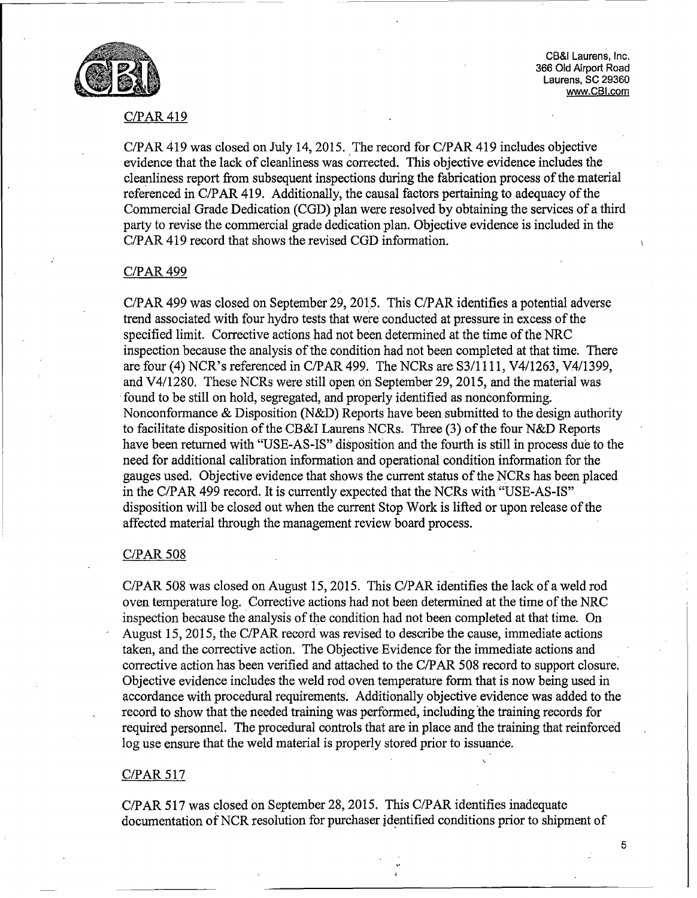

~CB&I Laurens, Inc. 366 Old Airport Road Laurens, SC 29360 www.CBI.com

## C/PAR 419

 $C/DAD$  410 was closed on July 14, 2015. The record for  $C/DAD$  410 includes objective C/PAR 419 was closed on July 14, 2015. The record for C/PAR 419 includes objective<br>cyridones that the lack of cleanliness was corrected. This objective evidence includes the evidence that the lack of cleanliness was corrected. This objective evidence includes the cleanliness report from subsequent inspections during the fabrication process of the material referenced in C/PAR 419. Additionally, the causal factors pertaining to adequacy of the Commercial Grade Dedication (CGD) plan were resolved by obtaining the services of a third party to revise the commercial grade dedication plan. Objective evidence is included in the C/PAR 419 record that shows the revised CGD information.

#### C/PAR 499

C/PAR 499 was closed on September 29, 2015. This C/PAR identifies a potential adverse trend associated with four hydro tests that were conducted at pressure in excess of the specified limit. Corrective actions had not been determined at the time of the NRC inspection because the analysis of the condition had not been completed at that time. There are four *(4)* NCR's referenced in C/PAR 499. The NCRs are S3/1 111, V4/1263, V4/1399, and V4/1280. These NCRs were still open on September 29, 2015, and the material was found to be still on hold, segregated, and properly identified as nonconforming. Nonconformance & Disposition (N&D) Reports have been submitted to the design authority to facilitate disposition of the CB&I Laurens NCRs. Three (3) of the four N&D Reports have been returned with "USE-AS-IS" disposition and the fourth is still in process due to the need for additional calibration information and operational condition information for the gauges used. Objective evidence that shows the current status of the NCRs has been placed in the C/PAR 499 record. It is currently expected that the NCRs with "USE-AS-IS" disposition will be closed out when the current Stop Work is lifted or upon release of the affected material through the management review board process.

### C/PAR 508

C/PAR 508 was closed on August *15,* 2015. This C/PAR identifies the lack of a weld rod OF AIX 500 Was crosed on August 15, 2015. This C/F AIX ruentines the facts of a were 100 oven temperature tog. Corrective actions had not been determined at the time of the time. inspection because the analysis of the condition had not been completed at that time. On August 15, 2015, the C/PAR record was revised to describe the cause, immediate actions taken, and the corrective action. The Objective Evidence for the immediate actions and raken, and the corrective action. The Objective Evidence for the immediate actions and corrective action has been verified and attached to the C/PAR 508 record to support closure.<br>Objective evidence includes the weld rod oven temperature form that is now being used in accordance with procedural requirements. Additionally objective evidence was added to the record to show that the needed training was performed, including the training records for required personnel. The procedural controls that are in place and the training that reinforced log use ensure that the weld material is properly stored prior to issuance.

# C/PAR 517

C/PAR 517 was closed on September 28, 2015. This C/PAR identifies inadequate  $C/PAR$  317 was closed on September 28, 2015. This  $C/PAR$  identifies inadequate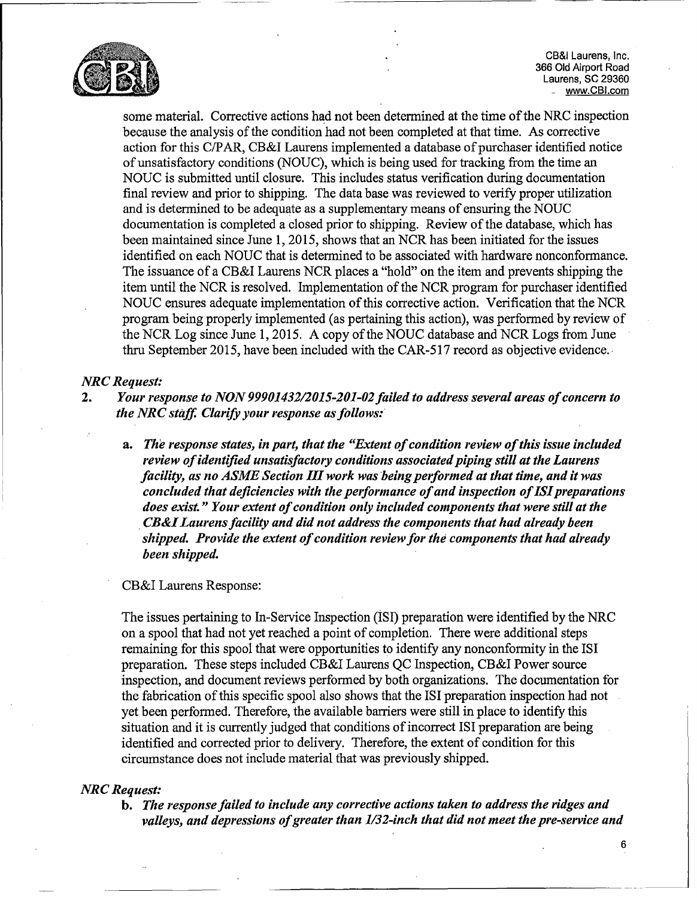

300 UI0 AIrport Road.<br>Laurens, SC 29360 CB&I Laurens, Inc.<br>366 Old Airport Road www.CBI.com

some material. Corrective actions had not been determined at the time of the NRC inspection because the analysis of the condition had not been completed at that time. As corrective action for this C/PAR, CB&I Laurens implemented a database of purchaser identified notice of unsatisfactory conditions (NOUC), which is being used for tracking from the time an NOUC is Submitted until closure. This includes status verification during documentation final review and prior to shipping. The data base was reviewed to verify proper utilization and is determined to be adequate as a supplementary means of ensuring the NOUC documentation is completed a closed prior to shipping. Review of the database, which has been maintained since June 1, 2015, shows that an NCR has been initiated for the issues identified on each NOUC that is determined to be associated with hardware nonconformance. The issuance of a CB&I Laurens NCR places a "hold" on the item and prevents shipping the item until the NCR is resolved. Implementation of the NCR program for purchaser identified NOUC ensures adequate implementation of this corrective action. Verification that the NCR program being properly implemented (as pertaining this action), was performed by review of the NCR Log since June 1, 2015. A copy of the NOUC database and NCR Logs from June thru September 2015, have been included with the CAR-517 record as objective evidence.

## *NRC Request:*

- 2. *Your response to NON 99901432/2015-201-02 failed to address several areas of concern to the NRC staff Clarify your response as follows:*
	- *a. The response states, in part, that the "Extent of condition review of this issue included review of identified unsatisfactory conditions associated piping still at the Laurens facility, as no ASME Section III work was being performed at that time, and it was concluded that deficiencies with the performance of and inspection of lSI preparations does exist." Your extent of condition only included components that were still at the SCB&ILaurens facility and did not address the components that had already been shipped. Provide the extent of condition review for the components that had already been shipped.*

### CB&I Laurens Response:

The issues pertaining to In-Service Inspection (1s1) preparation were identified by the NRC on a spool that had not yet reached a point of completion. There were additional steps remaining for this spool that were opportunities to identify any nonconformity in the 1SI preparation. These steps included CB&I Laurens QC Inspection, CB&I Power source inspection, and document reviews performed by both organizations. The documentation for the fabrication of this specific spool also shows that the ISI preparation inspection had not yet been performed. Therefore, the available barriers were still in place to identify this situation and it is currently judged that conditions of incorrect ISI preparation are being identified and corrected prior to delivery. Therefore, the extent of condition for this circumstance does not include material that was previously shipped.

# *NRC Request:*

b. *The response failed to include any corrective actions taken to address the ridges and valleys, and depressions of greater than 1/32-inch that did not meet the pre-service and*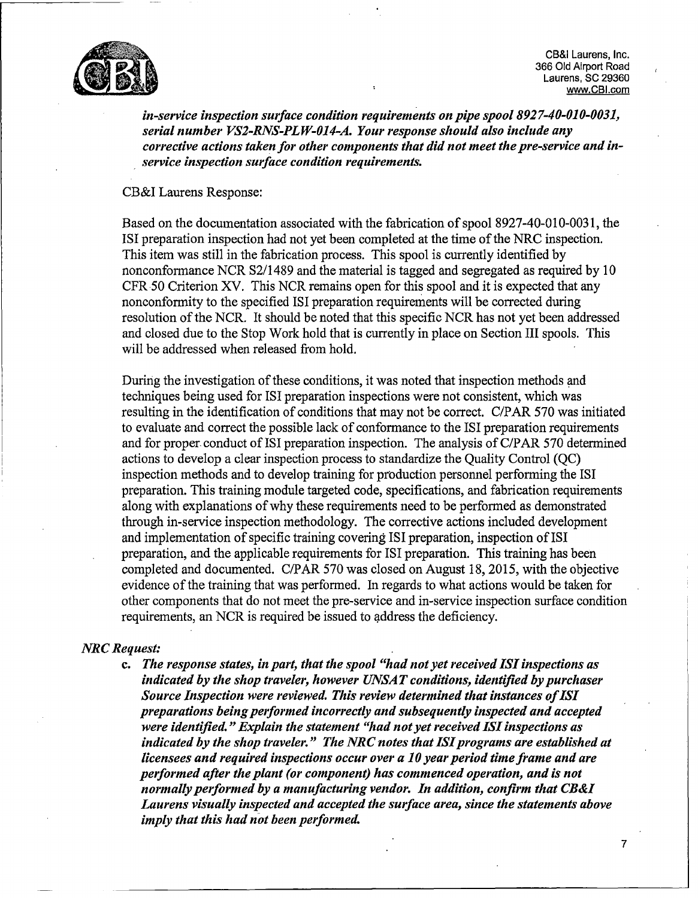

CB&I Laurens, Inc. 366 Old Airport Road<br>Laurens, SC 29360 www.CBI.com

*in-service inspection surface condition requirements on pipe spool 892 7-40-010-0031, serial number VS2-RNS-PLW-O14-A. Your response should also include any corrective actions taken for other components that did not meet the pre-service and inservice inspection surface condition requirements.*

CB&I Laurens Response:

Based on the documentation associated with the fabrication of spool 8927-40-010-003 1, the ISI preparation inspection had not yet been completed at the time of the NRC inspection. This item was still in the fabrication process. This spooi is currently identified by nonconformance NCR S2/1489 and the material is tagged and segregated as required by 10 CFR 50 Criterion XV. This NCR remains open for this spool and it is expected that any nonconformity to the specified ISI preparation requirements will be corrected during resolution of the NCR. It should be noted that this specific NCR has not yet been addressed and closed due to the Stop Work hold that is currently in place on Section III spools. This will be addressed when released from hold.

During the investigation of these conditions, it was noted that inspection methods and techniques being used for ISI preparation inspections were not consistent, which was resulting in the identification of conditions that may not be correct. C/PAR 570 was initiated to evaluate and correct the possible lack of conformance to the ISI preparation requirements and for proper. conduct of ISI preparation inspection. The analysis of C/PAR 570 determined actions to develop a clear inspection process to standardize the Quality Control (QC) inspection methods and to develop training for production personnel performing the ISI preparation. This training module targeted code, specifications, and fabrication requirements along with explanations of why these requirements need to be performed as demonstrated through in-service inspection methodology. The corrective actions included development and implementation of specific training covering ISI preparation, inspection of ISI preparation, and the applicable requirements for ISI preparation. This training has been completed and documented. C/PAR 570 was closed on August 18, 2015, with the objective evidence of the training that was performed. In regards to what actions would be taken for other components that do not meet the pre-service and in-service inspection surface condition requirements, an NCR is required be issued to address the deficiency.

#### *NRC Request:*

**c.** *The response states, in part, that the spool "had not yet received ISI inspections as indicated by the shop traveler, however UNSAT conditions, identified by purchaser Source Inspection were reviewed. This review determined that instances of ISI preparations being performed incorrectly and subsequently inspected and accepted were identified. "Explain the statement "had not yet received ISI inspections as indicated by the shop traveler." The NRC notes that ISI programs are established at licensees and required inspections occur over a 10 year period time frame and are performed after the plant (or component) has commenced operation, and is not normally performed by a manufacturing vendor. In addition, confirm that CB&I Laurens visually inspected and accepted the surface area, since the statements above imply that this had not been performed.*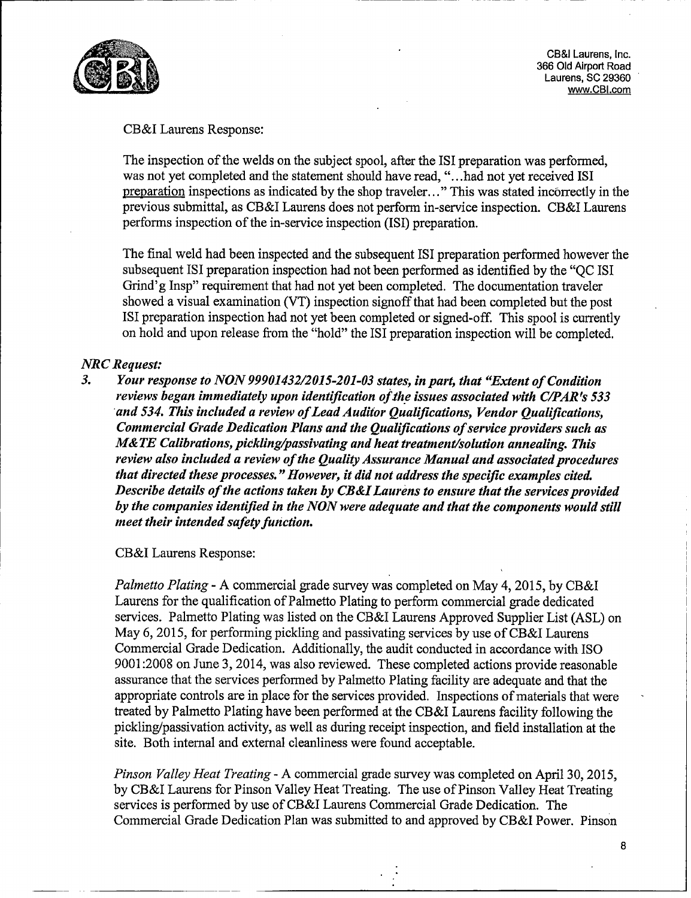

~CB&I Laurens, Inc. CB&I Laurens, Inc.<br>366 Old Airport Road Laurens, SC 29360 www.CBI.com

## CB&I Laurens Response:

The inspection of the welds on the subject spooi, after the ISI preparation was performed, was not yet completed and the statement should have read, ". ..had not yet received ISI preparation inspections as indicated by the shop traveler..." This was stated incorrectly in the previous submittal, as CB&I Laurens does not perform in-service inspection. CB&I Laurens performs inspection of the in-service inspection (ISI) preparation.

The final weld had been inspected and the subsequent IS1 preparation performed however the subsequent ISI preparation inspection had not been performed as identified by the "QC 1SI Grind'g Insp" requirement that had not yet been completed. The documentation traveler showed a visual examination (VT) inspection signoff that had been completed but the post ISI preparation inspection had not yet been completed or signed-off. This spool is currently on hold and upon release from the "hold" the ISI preparation inspection will be completed.

# *NRC Request:*

*3. Your response to NON 99901432/2015-201-03 states, in part, that "Extent of Condition reviews began immediately upon identification of the issues associated with C/PAR's 533 and 534. This included a review of Lead Auditor Qualifications, Vendor Qualifications, Commercial Grade Dedication Plans and the Qualifications of service providers such as M& TE Calibrations, pickling/passivating and heat treatment/solution annealing. This review also included a review of the Quality Assurance Manual and associated procedures that directed these processes. "However, it did not address the specific examples cited. Describe details of the actions taken by CB&I Laurens to ensure that the services provided by the companies identified in the NON were adequate and that the components would still mieet their intended safety function.*

CB&I Laurens Response:

*Palmetto Plating* - A commercial grade survey was completed on May 4, 2015, by CB&I Laurens for the qualification of Palmetto Plating to perform commercial grade dedicated services. Palmetto Plating was listed on the CB&I Laurens Approved Supplier List (ASL) on May 6, 2015, for performing pickling and passivating services by use of CB&I Laurens Commercial Grade Dedication. Additionally, the audit conducted in accordance with ISO 9001:2008 on June 3, 2014, was also reviewed. These completed actions provide reasonable assurance that the services performed by Palmetto Plating facility are adequate and that the appropriate controls are in place for the services provided. Inspections of materials that were treated by Palmetto Plating have been performed at the CB&I Laurens facility following the pickling/passivation activity, as well as during receipt inspection, and field installation at the site. Both internal and external cleanliness were found acceptable.

*Pinson Valley Heat Treating* - A commercial grade survey was completed on April 30, 2015, by CB&I Laurens for Pinson Valley Heat Treating. The use of Pinson Valley Heat Treating services is performed by use of CB&I Laurens Commercial Grade Dedication. The Commercial Grade Dedication Plan was submitted to and approved by CB&I Power. Pinson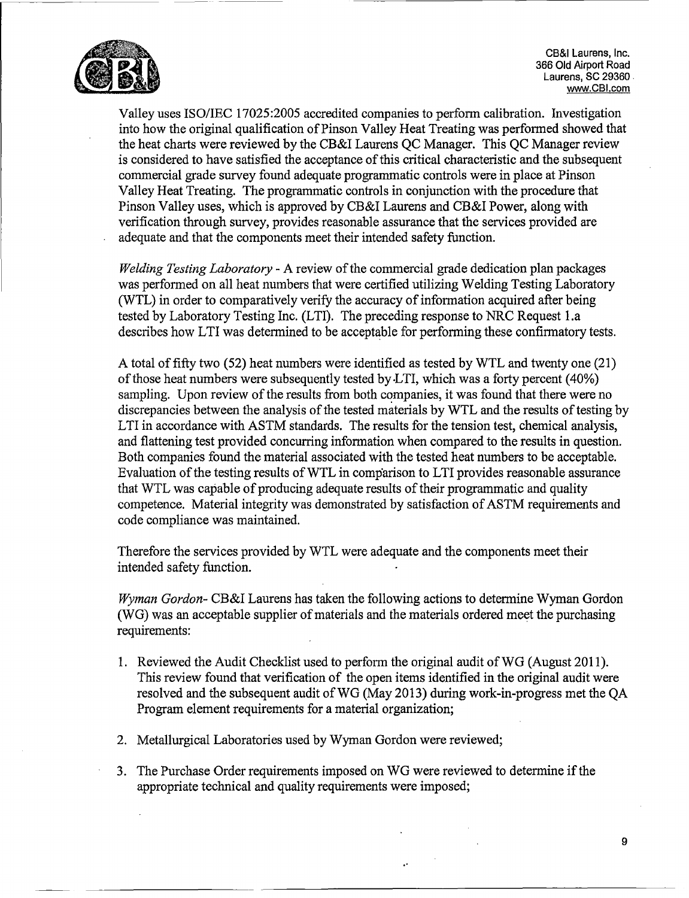

CB&I Laurens, Inc. 366 Old Airport Road ~CB&I Laurens, Inc. Laurens, SC 29360 www.CBI.com

Valley uses ISO/IEC 17025:2005 accredited companies to perform calibration. Investigation into how the original qualification of Pinson Valley Heat Treating was performed showed that the heat charts were reviewed by the CB&I Laurens QC Manager. This QC Manager review is considered to have satisfied the acceptance of this critical characteristic and the subsequent commercial grade survey found adequate programmatic controls were in place at Pinson Valley Heat Treating. The programmatic controls in conjunction with the procedure that Pinson Valley uses, which is approved by CB&I Laurens and CB&I Power, along with verification through survey, provides reasonable assurance that the services provided are adequate and that the components meet their intended safety function.

*Welding Testing Laboratory* - A review of the commercial grade dedication plan packages was performed on all heat numbers that were certified utilizing Welding Testing Laboratory (WTL) in order to comparatively verify the accuracy of information acquired after being tested by Laboratory Testing Inc. (LTI). The preceding response to NRC Request l.a describes how LTI was determined to be acceptable for performing these confirmatory tests.

A total of fifty two *(52)* heat numbers were identified as tested by WTL and twenty one (21) of those heat numbers were subsequently tested by.LTI, which was a forty percent (40%) sampling. Upon review of the results from both companies, it was found that there were no discrepancies between the analysis of the tested materials by WTL and the results of testing by LTI in accordance with ASTM standards. The results for the tension test, chemical analysis, and flattening test provided concurring information when compared to the results in question. Both companies found the material associated with the tested heat numbers to be acceptable. Evaluation of the testing results of WTL in comparison to LTI provides reasonable assurance that WTL was capable of producing adequate results of their programmatic and quality competence. Material integrity was demonstrated by satisfaction of ASTM requirements and code compliance was maintained.

Therefore the services provided by WTL were adequate and the components meet their intended safety function.

*Wyman Gordon-* CB&I Laurens has taken the following actions to determine Wyman Gordon (WG) was an acceptable supplier of materials and the materials ordered meet the purchasing requirements:

- 1. Reviewed the Audit Checklist used to perform the original audit of WG (August 2011). This review found that verification of the open items identified in the original audit were resolved and the subsequent audit of WG (May 2013) during work-in-progress met the QA Program element requirements for a material organization;
- 2. Metallurgical Laboratories used by Wyman Gordon were reviewed;
- 3. The Purchase Order requirements imposed on WG were reviewed to determine if the THE PUTCHASE ORDER TEQUITEMENTS HIPOSED ON WE WELFTED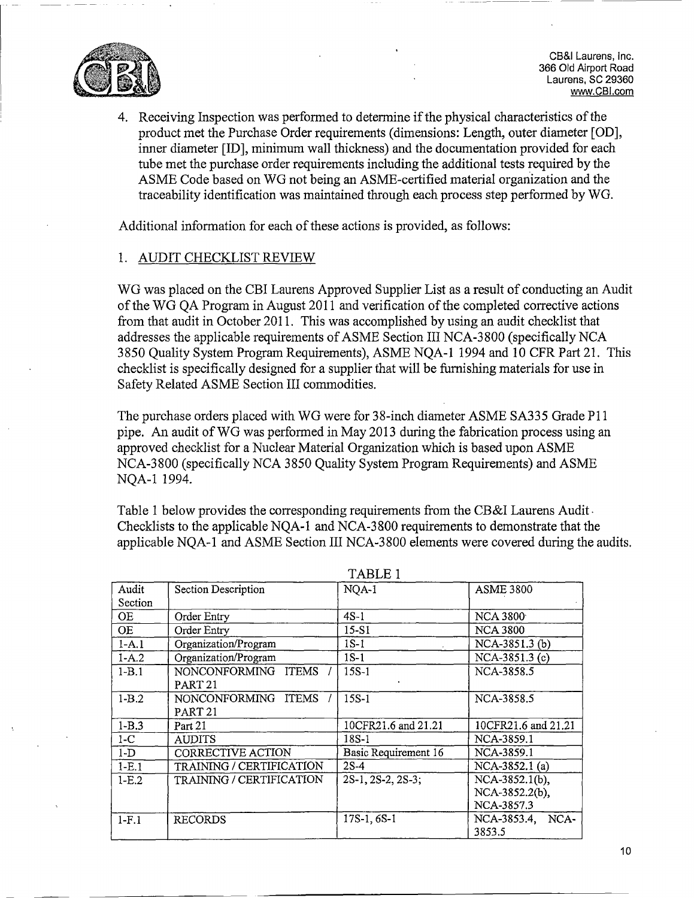

CB&I Laurens, Inc. 366 Old Airport Road<br>Laurens, SC 29360 www.CBI.com

4. Receiving Inspection was performed to determine if the physical characteristics of the product met the Purchase Order requirements (dimensions: Length, outer diameter [GD], inner diameter [ID], minimum wall thickness) and the documentation provided for each tube met the purchase order requirements including the additional tests required by the ASME Code based on WG not being an ASME-certified material organization and the traceability identification was maintained through each process step performed by WG.

Additional information for each of these actions is provided, as follows:

# 1. AUDIT CHECKLIST REVIEW

WG was placed on the CBI Laurens Approved Supplier List as a result of conducting an Audit of the WG QA Program in August 2011 and verification of the completed corrective actions from that audit in October 2011. This was accomplished by using an audit checklist that addresses the applicable requirements of ASME Section III NCA-3 800 (specifically NCA *3850* Quality System Program Requirements), ASME NQA-1 11994 and 10 CFR Part 21. This checklist is specifically designed for a supplier that will be furnishing materials for use in Safety Related ASME Section III commodities.

The purchase orders placed with WG were for 38-inch diameter ASME SA335 Grade P11 pipe. An audit of WG was performed in May 2013 during the fabrication process using an approved checklist for a Nuclear Material Organization which is based upon ASME approved checkinst for a Nuclear Material Organization which is based upon ASME<br>NCA-3800 (specifically NCA-3850 Quality System Program Requirements) and ASME  $NCA-3000$ 

Table 1 below provides the corresponding requirements from the CB&I Laurens Audit. Table 1 below provides the corresponding requirements from the CB&I Laurens Additional. Checklists to the applicable NQA-1 and NCA-3800 requirements to demonstrate that the applicable NQA-1 and ASME Section III NCA-3800 elements were covered during the audits.

|           |                                 | TADLE I              |                     |
|-----------|---------------------------------|----------------------|---------------------|
| Audit     | <b>Section Description</b>      | NQA-1                | <b>ASME 3800</b>    |
| Section   |                                 |                      |                     |
| OE        | Order Entry                     | $4S-1$               | <b>NCA 3800</b>     |
| <b>OE</b> | Order Entry                     | 15-S1                | <b>NCA 3800</b>     |
| $1-A.1$   | Organization/Program            | $1S-1$               | NCA-3851.3 (b)      |
| $1 - A.2$ | Organization/Program            | $1S-1$               | NCA-3851.3 (c)      |
| $1-B.1$   | NONCONFORMING ITEMS             | 15S-1                | NCA-3858.5          |
|           | PART <sub>21</sub>              |                      |                     |
| $1-B.2$   | NONCONFORMING ITEMS             | $15S-1$              | NCA-3858.5          |
|           | PART <sub>21</sub>              |                      |                     |
| $1 - B.3$ | Part 21                         | 10CFR21.6 and 21.21  | 10CFR21.6 and 21.21 |
| $1-C$     | <b>AUDITS</b>                   | 18S-1                | NCA-3859.1          |
| $1-D$     | CORRECTIVE ACTION               | Basic Requirement 16 | NCA-3859.1          |
| $1-E.1$   | <b>TRAINING / CERTIFICATION</b> | $2S-4$               | NCA-3852.1 (a)      |
| $1-E.2$   | TRAINING / CERTIFICATION        | 2S-1, 2S-2, 2S-3;    | NCA-3852.1(b),      |
|           |                                 |                      | NCA-3852.2(b),      |
|           |                                 |                      | NCA-3857.3          |
| $1-F.1$   | <b>RECORDS</b>                  | 17S-1, 6S-1          | NCA-3853.4,<br>NCA- |
|           |                                 |                      | 3853.5              |

TADID<sub>1</sub>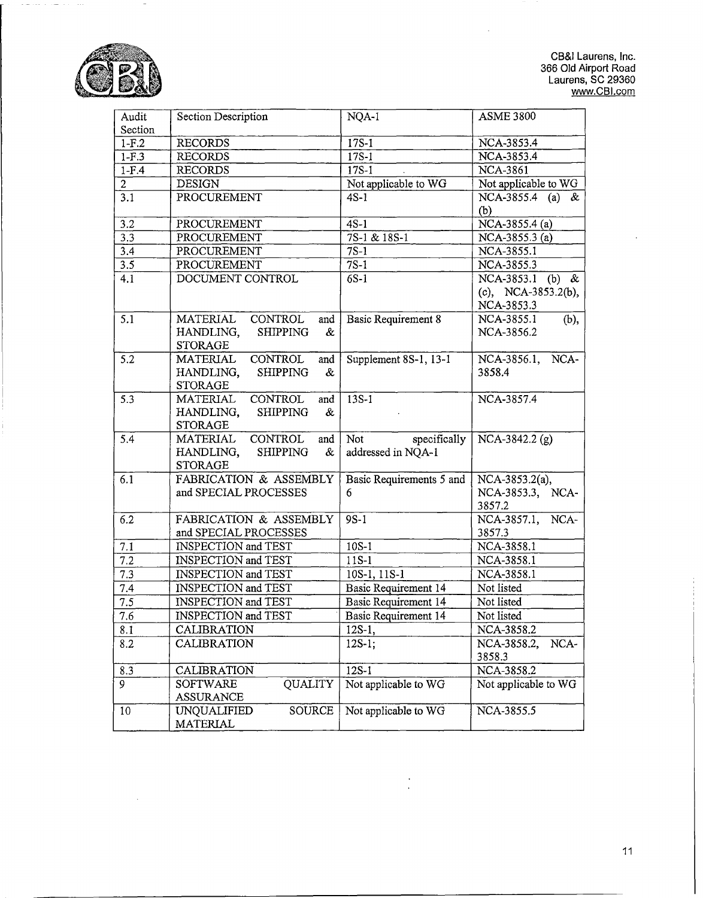

 $\mu(\omega)$  .  $\overline{\phantom{a}}$ 

> CB&I Laurens, Inc.<br>366 Old Airport Road uu Olu Alipult Rude<br>Laurens, SC 20360 www.CBI.com

 $\ddot{\phantom{a}}$ 

| Audit<br>Section | Section Description                      | NQA-1                      | <b>ASME 3800</b>     |
|------------------|------------------------------------------|----------------------------|----------------------|
| $1-F.2$          | <b>RECORDS</b>                           | $17S-1$                    | NCA-3853.4           |
| $1-F.3$          | <b>RECORDS</b>                           | $17S-1$                    | NCA-3853.4           |
| $1-F.4$          | <b>RECORDS</b>                           | $17S-1$                    | <b>NCA-3861</b>      |
| 2 <sup>1</sup>   | <b>DESIGN</b>                            | Not applicable to WG       | Not applicable to WG |
| 3.1              | PROCUREMENT                              | $4S-1$                     | NCA-3855.4 (a) &     |
|                  |                                          |                            | (b)                  |
| 3.2              | PROCUREMENT                              | $4S-1$                     | NCA-3855.4 (a)       |
| 3.3              | PROCUREMENT                              | 7S-1 & 18S-1               | NCA-3855.3 (a)       |
| 3.4              | PROCUREMENT                              | $7S-1$                     | NCA-3855.1           |
| 3.5              | PROCUREMENT                              | $7S-1$                     | NCA-3855.3           |
| 4.1              | DOCUMENT CONTROL                         | $\overline{6}$ S-1         | NCA-3853.1 (b) &     |
|                  |                                          |                            | (c), NCA-3853.2(b),  |
|                  |                                          |                            | NCA-3853.3           |
| 5.1              | CONTROL<br>MATERIAL<br>and               | <b>Basic Requirement 8</b> | NCA-3855.1<br>(b),   |
|                  | <b>SHIPPING</b><br>HANDLING,<br>&        |                            | NCA-3856.2           |
|                  | <b>STORAGE</b>                           |                            |                      |
| $\overline{5.2}$ | <b>CONTROL</b><br><b>MATERIAL</b><br>and | Supplement 8S-1, 13-1      | NCA-3856.1, NCA-     |
|                  | <b>SHIPPING</b><br>HANDLING,<br>&        |                            | 3858.4               |
|                  | <b>STORAGE</b>                           |                            |                      |
| 5.3              | <b>CONTROL</b><br><b>MATERIAL</b><br>and | $13S-1$                    | NCA-3857.4           |
|                  | HANDLING,<br><b>SHIPPING</b><br>&        |                            |                      |
|                  | <b>STORAGE</b>                           |                            |                      |
| 5.4              | CONTROL<br>MATERIAL<br>and               | Not<br>specifically        | NCA-3842.2 (g)       |
|                  | $\&$<br>HANDLING,<br><b>SHIPPING</b>     | addressed in NQA-1         |                      |
|                  | <b>STORAGE</b>                           |                            |                      |
| 6.1              | FABRICATION & ASSEMBLY                   | Basic Requirements 5 and   | NCA-3853.2(a),       |
|                  | and SPECIAL PROCESSES                    | 6                          | NCA-3853.3, NCA-     |
|                  |                                          |                            | 3857.2               |
| 6.2              | FABRICATION & ASSEMBLY                   | $9S-1$                     | NCA-<br>NCA-3857.1,  |
|                  | and SPECIAL PROCESSES                    |                            | 3857.3               |
| 7.1              | INSPECTION and TEST                      | $10S-1$                    | NCA-3858.1           |
| 7.2              | <b>INSPECTION and TEST</b>               | $11S-1$                    | NCA-3858.1           |
| 7.3              | <b>INSPECTION</b> and TEST               | 10S-1, 11S-1               | NCA-3858.1           |
| 7.4              | INSPECTION and TEST                      | Basic Requirement 14       | Not listed           |
| $\overline{7.5}$ | INSPECTION and TEST                      | Basic Requirement 14       | Not listed           |
| 7.6              | <b>INSPECTION</b> and TEST               | Basic Requirement 14       | Not listed           |
| 8.1              | <b>CALIBRATION</b>                       | $12S-1,$                   | NCA-3858.2           |
| 8.2              | CALIBRATION                              | $12S-1;$                   | NCA-3858.2,<br>NCA-  |
|                  |                                          |                            | 3858.3               |
| 8.3              | CALIBRATION                              | $12S-1$                    | NCA-3858.2           |
| 9                | QUALITY<br>SOFTWARE                      | Not applicable to WG       | Not applicable to WG |
|                  | ASSURANCE                                |                            |                      |
| 10               | <b>SOURCE</b><br>UNQUALIFIED             | Not applicable to WG       | NCA-3855.5           |
|                  | MATERIAL                                 |                            |                      |

 $\ddot{\phantom{0}}$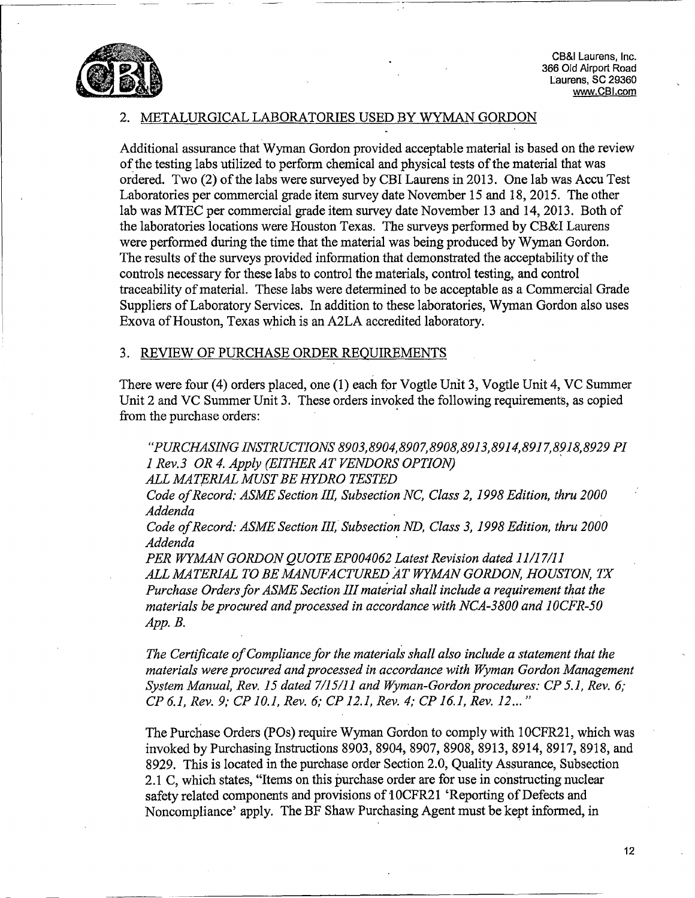

~CB&I Laurens, Inc. 366 Old Airport Road Laurens, SC 29360 www.CBl.com

### METALURGICAL LABORATORIES USED BY WYMAN GORDON

Additional assurance that Wyman Gordon provided acceptable material is based on the review Additional assurance that wyman Gordon provided acceptable material is based on the r<br>of the testing labs utilized to perform chemical and physical tests of the material that was of the testing labs utilized to perform chemical and physical tests of the material that was ordered. Two (2) of the labs were surveyed by CBI Laurens in 2013. One lab was Accu Test Laboratories per commercial grade item survey date November 15 and 18, *2015.* The other lab was MTEC per commercial grade item survey date November 13 and 14, 2013. Both of the laboratories locations were Houston Texas. The surveys performed by CB&I Laurens were performed during the time that the material was being produced by Wyman Gordon. The results of the surveys provided information that demonstrated the acceptability of the controls necessary for these labs to control the materials, control testing, and control controls necessary for these labs to control the materials, control testing, and control<br>tracechility of material. These labs were determined to be acceptable as a Commercial Grad traceability of material. These labs were determined to be acceptable as a Commercial Grade<br>Suppliers of Laboratory Services. In addition to these laboratories, Wyman Gordon also uses Exova of Houston, Texas which is an A2LA accredited laboratory.

#### 3. REVIEW OF PURCHASE ORDER REOUIREMENTS

There were four (4) orders placed, one (1) each for Vogtle Unit 3, Vogtle Unit 4, VC Summer I here were four (4) orders placed, one (1) each for vogue only 5, vogue only 4, vc summary that 3. These orders invoked the following requirements, as copied  $f_{\text{trem}}$  the purel assessed pure

*"PUR CHASING INSTRUCTIONS 8903, 8904, 8907, 8908, 8913, 8914, 8917, 8918, 8929 P1 1 Rev. 3 OR 4. Apply (EITHER AT VENDORS OPTION) ALL MATERIAL MUST BE HYDRO TESTED*

*Code of Record: ASME Section III, Subsection NC, Class 2, 1998 Edition, thru 2000* Loue *v* 

*Code of Record: ASME Section II1, Subsection ND, Class 3, 1998 Edition, thru 2000* Loue of

*PER WYMAN GORDON QUOTE EP004062 Latest Revision dated 11/17/11 ALL MATERIAL TO BE MANUFA CTURED A4T WYMAN GORDON, HOUSTON, TX Purchase Orders for ASME Section III mate~rial shall include a requirement that the materials be procured and processed in accordance with NCA -3800 and IJOCFR-50 App. B.*

*The Certificate of Compliance for the materials shall also include a statement that the materials were procured and processed in accordance with Wyman Gordon Management* materials were procured and processed in accordance with Wyman Gordon Management<br>System Manual, Rev. 15 dated 7/15/11 and Wyman-Gordon procedures: CP 5.1, Rev. 6; *CP 6.1, Rev. 9; CPJO10., Rev. 6; CP 12.1, Rev. 4; CPJ16.1, Rev. 12... "*

The Purchase Orders (POs) require Wyman Gordon to comply with 10CFR2l, which was invoked by Purchasing Instructions 8903, 8904, 8907, 8908, 8913, 8914, 8917, 8918, and 8929. This is located in the purchase order Section 2.0, Quality Assurance, Subsection 2.2.1 Syzy, 1 fils is located in the purchase order section 2.0, Quality Assurance, Subsection of the material states, "Items on this purchase order are for use in constructing nuclear 2.1 C, which states, thems on this purchase of the following in constructing human contains and provisions of 10CFP21 'Reporting of Defects and safety related components and provisions of 10CFR21 'Reporting of Defects and Noncompliance' apply. The BF Shaw Purchasing Agent must be kept informed, in